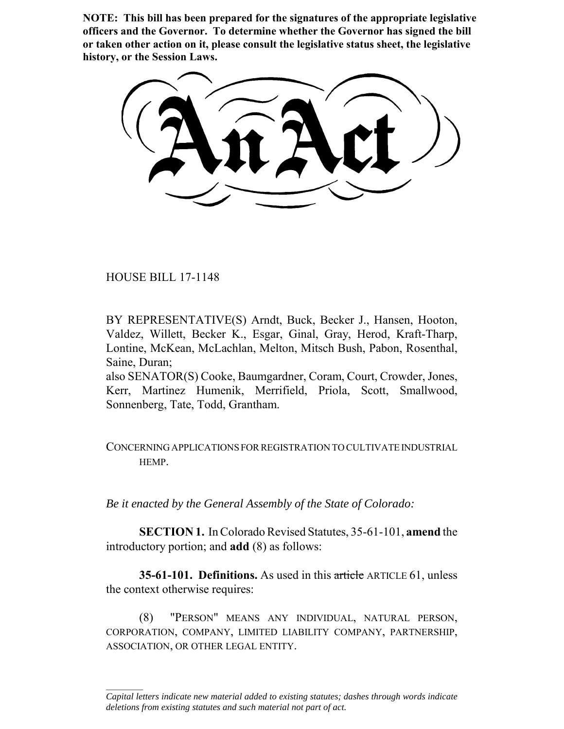**NOTE: This bill has been prepared for the signatures of the appropriate legislative officers and the Governor. To determine whether the Governor has signed the bill or taken other action on it, please consult the legislative status sheet, the legislative history, or the Session Laws.**

HOUSE BILL 17-1148

 $\frac{1}{2}$ 

BY REPRESENTATIVE(S) Arndt, Buck, Becker J., Hansen, Hooton, Valdez, Willett, Becker K., Esgar, Ginal, Gray, Herod, Kraft-Tharp, Lontine, McKean, McLachlan, Melton, Mitsch Bush, Pabon, Rosenthal, Saine, Duran;

also SENATOR(S) Cooke, Baumgardner, Coram, Court, Crowder, Jones, Kerr, Martinez Humenik, Merrifield, Priola, Scott, Smallwood, Sonnenberg, Tate, Todd, Grantham.

## CONCERNING APPLICATIONS FOR REGISTRATION TO CULTIVATE INDUSTRIAL HEMP.

*Be it enacted by the General Assembly of the State of Colorado:*

**SECTION 1.** In Colorado Revised Statutes, 35-61-101, **amend** the introductory portion; and **add** (8) as follows:

**35-61-101. Definitions.** As used in this article ARTICLE 61, unless the context otherwise requires:

(8) "PERSON" MEANS ANY INDIVIDUAL, NATURAL PERSON, CORPORATION, COMPANY, LIMITED LIABILITY COMPANY, PARTNERSHIP, ASSOCIATION, OR OTHER LEGAL ENTITY.

*Capital letters indicate new material added to existing statutes; dashes through words indicate deletions from existing statutes and such material not part of act.*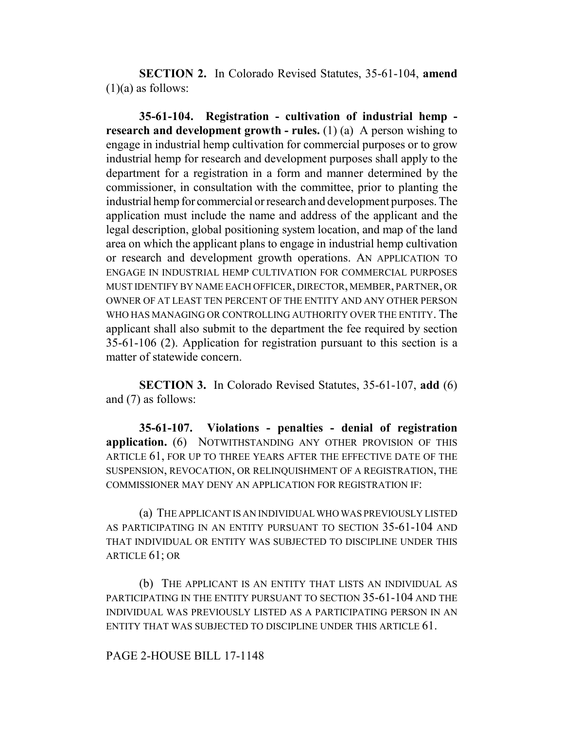**SECTION 2.** In Colorado Revised Statutes, 35-61-104, **amend**  $(1)(a)$  as follows:

**35-61-104. Registration - cultivation of industrial hemp research and development growth - rules.** (1) (a) A person wishing to engage in industrial hemp cultivation for commercial purposes or to grow industrial hemp for research and development purposes shall apply to the department for a registration in a form and manner determined by the commissioner, in consultation with the committee, prior to planting the industrial hemp for commercial or research and development purposes. The application must include the name and address of the applicant and the legal description, global positioning system location, and map of the land area on which the applicant plans to engage in industrial hemp cultivation or research and development growth operations. AN APPLICATION TO ENGAGE IN INDUSTRIAL HEMP CULTIVATION FOR COMMERCIAL PURPOSES MUST IDENTIFY BY NAME EACH OFFICER, DIRECTOR, MEMBER, PARTNER, OR OWNER OF AT LEAST TEN PERCENT OF THE ENTITY AND ANY OTHER PERSON WHO HAS MANAGING OR CONTROLLING AUTHORITY OVER THE ENTITY. The applicant shall also submit to the department the fee required by section 35-61-106 (2). Application for registration pursuant to this section is a matter of statewide concern.

**SECTION 3.** In Colorado Revised Statutes, 35-61-107, **add** (6) and (7) as follows:

**35-61-107. Violations - penalties - denial of registration application.** (6) NOTWITHSTANDING ANY OTHER PROVISION OF THIS ARTICLE 61, FOR UP TO THREE YEARS AFTER THE EFFECTIVE DATE OF THE SUSPENSION, REVOCATION, OR RELINQUISHMENT OF A REGISTRATION, THE COMMISSIONER MAY DENY AN APPLICATION FOR REGISTRATION IF:

(a) THE APPLICANT IS AN INDIVIDUAL WHO WAS PREVIOUSLY LISTED AS PARTICIPATING IN AN ENTITY PURSUANT TO SECTION 35-61-104 AND THAT INDIVIDUAL OR ENTITY WAS SUBJECTED TO DISCIPLINE UNDER THIS ARTICLE 61; OR

(b) THE APPLICANT IS AN ENTITY THAT LISTS AN INDIVIDUAL AS PARTICIPATING IN THE ENTITY PURSUANT TO SECTION 35-61-104 AND THE INDIVIDUAL WAS PREVIOUSLY LISTED AS A PARTICIPATING PERSON IN AN ENTITY THAT WAS SUBJECTED TO DISCIPLINE UNDER THIS ARTICLE 61.

## PAGE 2-HOUSE BILL 17-1148